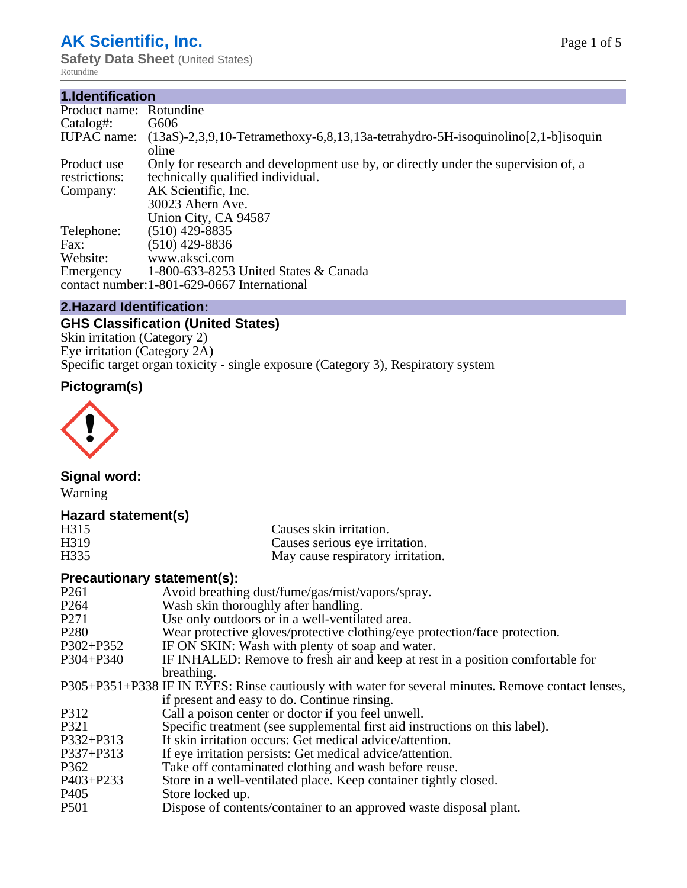# **AK Scientific, Inc.**

**Safety Data Sheet (United States)** Rotundine

#### **1.Identification**

| Product name: Rotundine |                                                                                         |
|-------------------------|-----------------------------------------------------------------------------------------|
| Catalog#:               | G606                                                                                    |
| <b>IUPAC</b> name:      | $(13aS)-2,3,9,10$ -Tetramethoxy-6,8,13,13a-tetrahydro-5H-isoquinolino $[2,1-b]$ isoquin |
|                         | oline                                                                                   |
| Product use             | Only for research and development use by, or directly under the supervision of, a       |
| restrictions:           | technically qualified individual.                                                       |
| Company:                | AK Scientific, Inc.                                                                     |
|                         | 30023 Ahern Ave.                                                                        |
|                         | Union City, CA 94587                                                                    |
| Telephone:              | $(510)$ 429-8835                                                                        |
| Fax:                    | (510) 429-8836                                                                          |
| Website:                | www.aksci.com                                                                           |
| Emergency               | 1-800-633-8253 United States & Canada                                                   |
|                         | contact number: 1-801-629-0667 International                                            |

#### **2.Hazard Identification:**

# **GHS Classification (United States)**

Skin irritation (Category 2) Eye irritation (Category 2A) Specific target organ toxicity - single exposure (Category 3), Respiratory system

# **Pictogram(s)**



# **Signal word:**

Warning

# **Hazard statement(s)**

| H315              | Causes skin irritation.           |
|-------------------|-----------------------------------|
| H <sub>3</sub> 19 | Causes serious eye irritation.    |
| H <sub>335</sub>  | May cause respiratory irritation. |

# **Precautionary statement(s):**

| P <sub>261</sub> | Avoid breathing dust/fume/gas/mist/vapors/spray.                                                   |
|------------------|----------------------------------------------------------------------------------------------------|
| P <sub>264</sub> | Wash skin thoroughly after handling.                                                               |
| P <sub>271</sub> | Use only outdoors or in a well-ventilated area.                                                    |
| P <sub>280</sub> | Wear protective gloves/protective clothing/eye protection/face protection.                         |
| P302+P352        | IF ON SKIN: Wash with plenty of soap and water.                                                    |
| $P304 + P340$    | IF INHALED: Remove to fresh air and keep at rest in a position comfortable for                     |
|                  | breathing.                                                                                         |
|                  | P305+P351+P338 IF IN EYES: Rinse cautiously with water for several minutes. Remove contact lenses, |
|                  | if present and easy to do. Continue rinsing.                                                       |
| P312             | Call a poison center or doctor if you feel unwell.                                                 |
| P321             | Specific treatment (see supplemental first aid instructions on this label).                        |
| P332+P313        | If skin irritation occurs: Get medical advice/attention.                                           |
| P337+P313        | If eye irritation persists: Get medical advice/attention.                                          |
| P362             | Take off contaminated clothing and wash before reuse.                                              |
| P403+P233        | Store in a well-ventilated place. Keep container tightly closed.                                   |
| P <sub>405</sub> | Store locked up.                                                                                   |
| P <sub>501</sub> | Dispose of contents/container to an approved waste disposal plant.                                 |
|                  |                                                                                                    |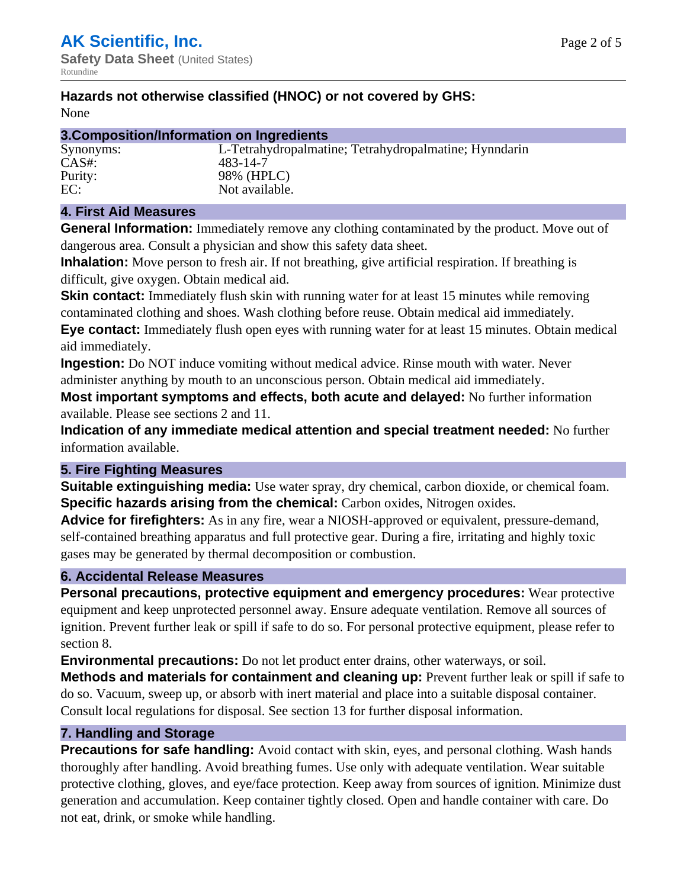# **Hazards not otherwise classified (HNOC) or not covered by GHS:**

None

#### **3.Composition/Information on Ingredients**

Synonyms: L-Tetrahydropalmatine; Tetrahydropalmatine; Hynndarin CAS#: 483-14-7 Purity: 98% (HPLC) EC: Not available.

# **4. First Aid Measures**

**General Information:** Immediately remove any clothing contaminated by the product. Move out of dangerous area. Consult a physician and show this safety data sheet.

**Inhalation:** Move person to fresh air. If not breathing, give artificial respiration. If breathing is difficult, give oxygen. Obtain medical aid.

**Skin contact:** Immediately flush skin with running water for at least 15 minutes while removing contaminated clothing and shoes. Wash clothing before reuse. Obtain medical aid immediately. **Eye contact:** Immediately flush open eyes with running water for at least 15 minutes. Obtain medical aid immediately.

**Ingestion:** Do NOT induce vomiting without medical advice. Rinse mouth with water. Never administer anything by mouth to an unconscious person. Obtain medical aid immediately.

**Most important symptoms and effects, both acute and delayed:** No further information available. Please see sections 2 and 11.

**Indication of any immediate medical attention and special treatment needed:** No further information available.

# **5. Fire Fighting Measures**

**Suitable extinguishing media:** Use water spray, dry chemical, carbon dioxide, or chemical foam. **Specific hazards arising from the chemical:** Carbon oxides, Nitrogen oxides.

**Advice for firefighters:** As in any fire, wear a NIOSH-approved or equivalent, pressure-demand, self-contained breathing apparatus and full protective gear. During a fire, irritating and highly toxic gases may be generated by thermal decomposition or combustion.

# **6. Accidental Release Measures**

**Personal precautions, protective equipment and emergency procedures:** Wear protective equipment and keep unprotected personnel away. Ensure adequate ventilation. Remove all sources of ignition. Prevent further leak or spill if safe to do so. For personal protective equipment, please refer to section 8.

**Environmental precautions:** Do not let product enter drains, other waterways, or soil.

**Methods and materials for containment and cleaning up:** Prevent further leak or spill if safe to do so. Vacuum, sweep up, or absorb with inert material and place into a suitable disposal container. Consult local regulations for disposal. See section 13 for further disposal information.

#### **7. Handling and Storage**

**Precautions for safe handling:** Avoid contact with skin, eyes, and personal clothing. Wash hands thoroughly after handling. Avoid breathing fumes. Use only with adequate ventilation. Wear suitable protective clothing, gloves, and eye/face protection. Keep away from sources of ignition. Minimize dust generation and accumulation. Keep container tightly closed. Open and handle container with care. Do not eat, drink, or smoke while handling.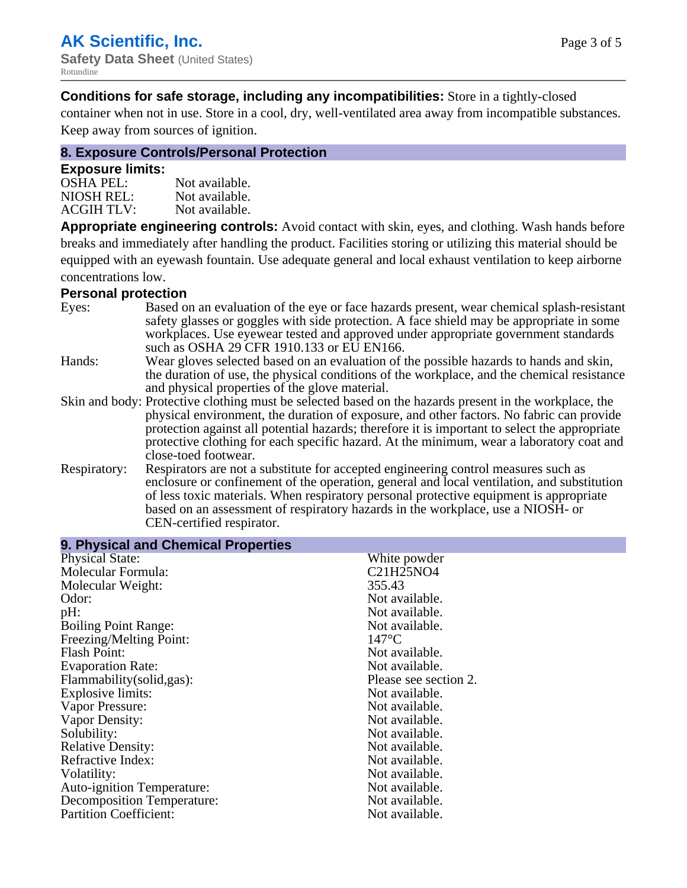**Conditions for safe storage, including any incompatibilities:** Store in a tightly-closed

container when not in use. Store in a cool, dry, well-ventilated area away from incompatible substances. Keep away from sources of ignition.

### **8. Exposure Controls/Personal Protection**

#### **Exposure limits:**

| <b>OSHA PEL:</b>  | Not available. |
|-------------------|----------------|
| NIOSH REL:        | Not available. |
| <b>ACGIH TLV:</b> | Not available. |

**Appropriate engineering controls:** Avoid contact with skin, eyes, and clothing. Wash hands before breaks and immediately after handling the product. Facilities storing or utilizing this material should be equipped with an eyewash fountain. Use adequate general and local exhaust ventilation to keep airborne concentrations low.

#### **Personal protection**

| Eyes:        | Based on an evaluation of the eye or face hazards present, wear chemical splash-resistant<br>safety glasses or goggles with side protection. A face shield may be appropriate in some<br>workplaces. Use eyewear tested and approved under appropriate government standards<br>such as OSHA 29 CFR 1910.133 or EU EN166. |
|--------------|--------------------------------------------------------------------------------------------------------------------------------------------------------------------------------------------------------------------------------------------------------------------------------------------------------------------------|
| Hands:       | Wear gloves selected based on an evaluation of the possible hazards to hands and skin,                                                                                                                                                                                                                                   |
|              | the duration of use, the physical conditions of the workplace, and the chemical resistance<br>and physical properties of the glove material.                                                                                                                                                                             |
|              | Skin and body: Protective clothing must be selected based on the hazards present in the workplace, the                                                                                                                                                                                                                   |
|              | physical environment, the duration of exposure, and other factors. No fabric can provide                                                                                                                                                                                                                                 |
|              | protection against all potential hazards; therefore it is important to select the appropriate<br>protective clothing for each specific hazard. At the minimum, wear a laboratory coat and                                                                                                                                |
|              | close-toed footwear.                                                                                                                                                                                                                                                                                                     |
| Respiratory: | Respirators are not a substitute for accepted engineering control measures such as<br>enclosure or confinement of the operation, general and local ventilation, and substitution                                                                                                                                         |
|              | of less toxic materials. When respiratory personal protective equipment is appropriate                                                                                                                                                                                                                                   |
|              | based on an assessment of respiratory hazards in the workplace, use a NIOSH- or<br>CEN-certified respirator.                                                                                                                                                                                                             |
|              |                                                                                                                                                                                                                                                                                                                          |

| 9. Physical and Chemical Properties |                       |  |  |
|-------------------------------------|-----------------------|--|--|
| <b>Physical State:</b>              | White powder          |  |  |
| Molecular Formula:                  | C21H25NO4             |  |  |
| Molecular Weight:                   | 355.43                |  |  |
| Odor:                               | Not available.        |  |  |
| pH:                                 | Not available.        |  |  |
| <b>Boiling Point Range:</b>         | Not available.        |  |  |
| Freezing/Melting Point:             | $147^{\circ}$ C       |  |  |
| <b>Flash Point:</b>                 | Not available.        |  |  |
| <b>Evaporation Rate:</b>            | Not available.        |  |  |
| Flammability (solid, gas):          | Please see section 2. |  |  |
| Explosive limits:                   | Not available.        |  |  |
| Vapor Pressure:                     | Not available.        |  |  |
| Vapor Density:                      | Not available.        |  |  |
| Solubility:                         | Not available.        |  |  |
| <b>Relative Density:</b>            | Not available.        |  |  |
| Refractive Index:                   | Not available.        |  |  |
| Volatility:                         | Not available.        |  |  |
| <b>Auto-ignition Temperature:</b>   | Not available.        |  |  |
| <b>Decomposition Temperature:</b>   | Not available.        |  |  |
| <b>Partition Coefficient:</b>       | Not available.        |  |  |
|                                     |                       |  |  |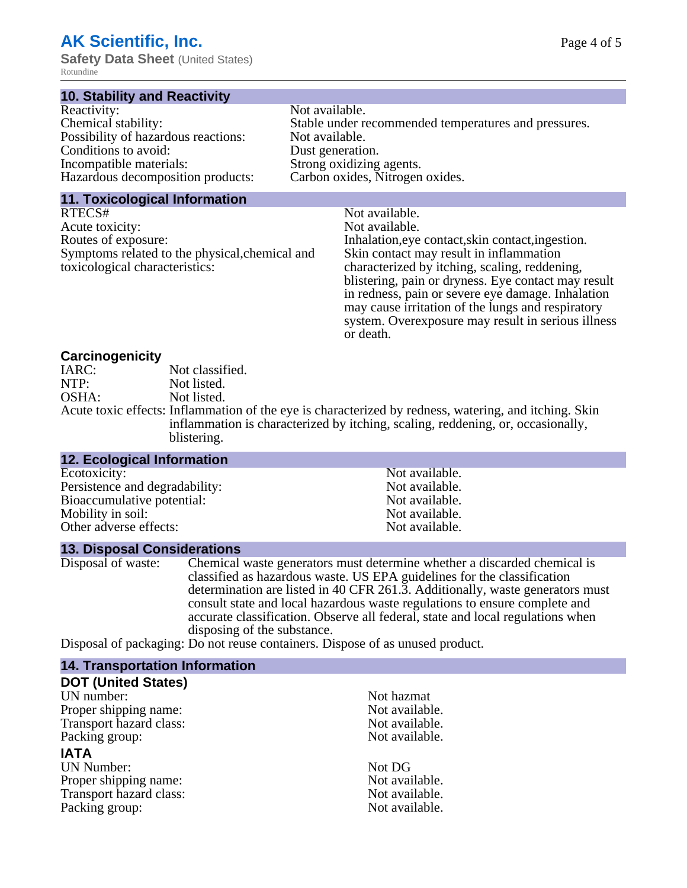# **AK Scientific, Inc.**

**Safety Data Sheet (United States)** Rotundine

#### **10. Stability and Reactivity**

| Reactivity:                         | Not available.                                       |
|-------------------------------------|------------------------------------------------------|
| Chemical stability:                 | Stable under recommended temperatures and pressures. |
| Possibility of hazardous reactions: | Not available.                                       |
| Conditions to avoid:                | Dust generation.                                     |
| Incompatible materials:             | Strong oxidizing agents.                             |
| Hazardous decomposition products:   | Carbon oxides, Nitrogen oxides.                      |
|                                     |                                                      |

#### **11. Toxicological Information**

| RTECS#                                         | Not available.                                      |
|------------------------------------------------|-----------------------------------------------------|
| Acute toxicity:                                | Not available.                                      |
| Routes of exposure:                            | Inhalation, eye contact, skin contact, ingestion.   |
| Symptoms related to the physical, chemical and | Skin contact may result in inflammation             |
| toxicological characteristics:                 | characterized by itching, scaling, reddening,       |
|                                                | blistering, pain or dryness. Eye contact may result |
|                                                | in redness, pain or severe eye damage. Inhalation   |
|                                                | may cause irritation of the lungs and respiratory   |

or death.

system. Overexposure may result in serious illness

#### **Carcinogenicity**

| IARC: | Not classified.                                                                                       |
|-------|-------------------------------------------------------------------------------------------------------|
| NTP:  | Not listed.                                                                                           |
| OSHA: | Not listed.                                                                                           |
|       | Acute toxic effects: Inflammation of the eye is characterized by redness, watering, and itching. Skin |
|       | inflammation is characterized by itching, scaling, reddening, or, occasionally,                       |
|       | blistering.                                                                                           |

| <b>12. Ecological Information</b> |                |  |
|-----------------------------------|----------------|--|
| Ecotoxicity:                      | Not available. |  |
| Persistence and degradability:    | Not available. |  |
| Bioaccumulative potential:        | Not available. |  |
| Mobility in soil:                 | Not available. |  |
| Other adverse effects:            | Not available. |  |
|                                   |                |  |

#### **13. Disposal Considerations**

Disposal of waste: Chemical waste generators must determine whether a discarded chemical is classified as hazardous waste. US EPA guidelines for the classification determination are listed in 40 CFR 261.3. Additionally, waste generators must consult state and local hazardous waste regulations to ensure complete and accurate classification. Observe all federal, state and local regulations when disposing of the substance.

Disposal of packaging: Do not reuse containers. Dispose of as unused product.

| Not hazmat     |
|----------------|
| Not available. |
| Not available. |
| Not available. |
|                |
| Not DG         |
| Not available. |
| Not available. |
| Not available. |
|                |